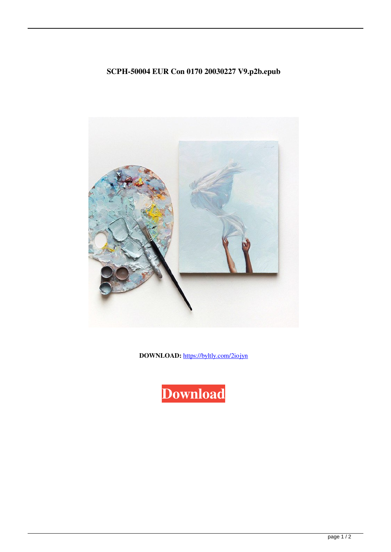## SCPH-50004 EUR Con 0170 20030227 V9.p2b.epub



DOWNLOAD: https://byltly.com/2iojyn